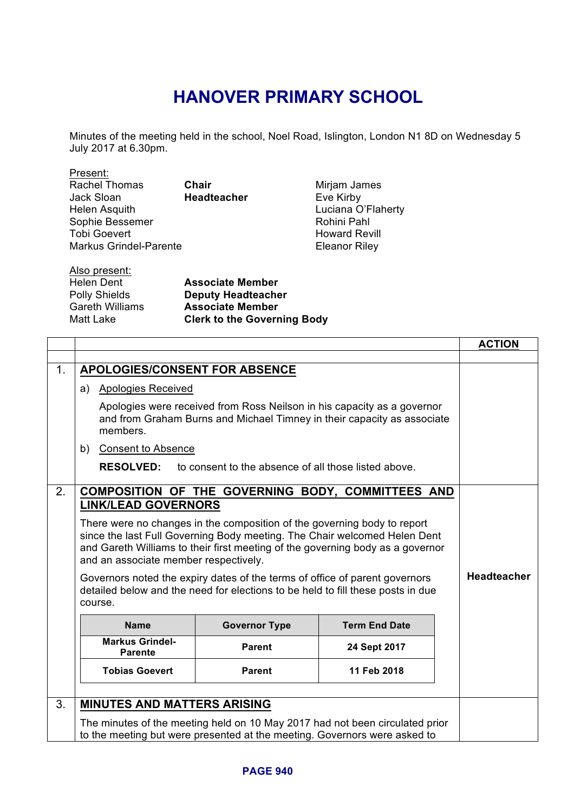## **HANOVER PRIMARY SCHOOL**

Minutes of the meeting held in the school, Noel Road, Islington, London N1 8D on Wednesday 5 July 2017 at 6.30pm.

| Present:                      |                    |                      |
|-------------------------------|--------------------|----------------------|
| <b>Rachel Thomas</b>          | Chair              | Mirjam James         |
| Jack Sloan                    | <b>Headteacher</b> | Eve Kirby            |
| Helen Asquith                 |                    | Luciana O'Flaherty   |
| Sophie Bessemer               |                    | Rohini Pahl          |
| <b>Tobi Goevert</b>           |                    | <b>Howard Revill</b> |
| <b>Markus Grindel-Parente</b> |                    | <b>Eleanor Riley</b> |
|                               |                    |                      |
| Also present:                 |                    |                      |

| , … … … … … …          |                                    |
|------------------------|------------------------------------|
| Helen Dent             | <b>Associate Member</b>            |
| <b>Polly Shields</b>   | <b>Deputy Headteacher</b>          |
| <b>Gareth Williams</b> | <b>Associate Member</b>            |
| Matt Lake              | <b>Clerk to the Governing Body</b> |
|                        |                                    |

|    |                                                                                                                                                                           |                                                                              |                      | <b>ACTION</b> |
|----|---------------------------------------------------------------------------------------------------------------------------------------------------------------------------|------------------------------------------------------------------------------|----------------------|---------------|
|    |                                                                                                                                                                           |                                                                              |                      |               |
| 1. | APOLOGIES/CONSENT FOR ABSENCE                                                                                                                                             |                                                                              |                      |               |
|    | a) Apologies Received                                                                                                                                                     |                                                                              |                      |               |
|    | Apologies were received from Ross Neilson in his capacity as a governor<br>and from Graham Burns and Michael Timney in their capacity as associate<br>members.            |                                                                              |                      |               |
|    | <b>Consent to Absence</b><br>b)                                                                                                                                           |                                                                              |                      |               |
|    | <b>RESOLVED:</b>                                                                                                                                                          | to consent to the absence of all those listed above.                         |                      |               |
| 2. |                                                                                                                                                                           | COMPOSITION OF THE GOVERNING BODY, COMMITTEES AND                            |                      |               |
|    | <b>LINK/LEAD GOVERNORS</b>                                                                                                                                                |                                                                              |                      |               |
|    |                                                                                                                                                                           | There were no changes in the composition of the governing body to report     |                      |               |
|    |                                                                                                                                                                           | since the last Full Governing Body meeting. The Chair welcomed Helen Dent    |                      |               |
|    | and Gareth Williams to their first meeting of the governing body as a governor                                                                                            |                                                                              |                      |               |
|    | and an associate member respectively.                                                                                                                                     |                                                                              |                      |               |
|    | Governors noted the expiry dates of the terms of office of parent governors<br>detailed below and the need for elections to be held to fill these posts in due<br>course. | <b>Headteacher</b>                                                           |                      |               |
|    | <b>Name</b>                                                                                                                                                               | <b>Governor Type</b>                                                         | <b>Term End Date</b> |               |
|    | <b>Markus Grindel-</b><br><b>Parente</b>                                                                                                                                  | <b>Parent</b>                                                                | 24 Sept 2017         |               |
|    | <b>Tobias Goevert</b>                                                                                                                                                     | <b>Parent</b>                                                                | 11 Feb 2018          |               |
|    |                                                                                                                                                                           |                                                                              |                      |               |
| 3. | <b>MINUTES AND MATTERS ARISING</b>                                                                                                                                        |                                                                              |                      |               |
|    |                                                                                                                                                                           | The minutes of the meeting held on 10 May 2017 had not been circulated prior |                      |               |
|    | to the meeting but were presented at the meeting. Governors were asked to                                                                                                 |                                                                              |                      |               |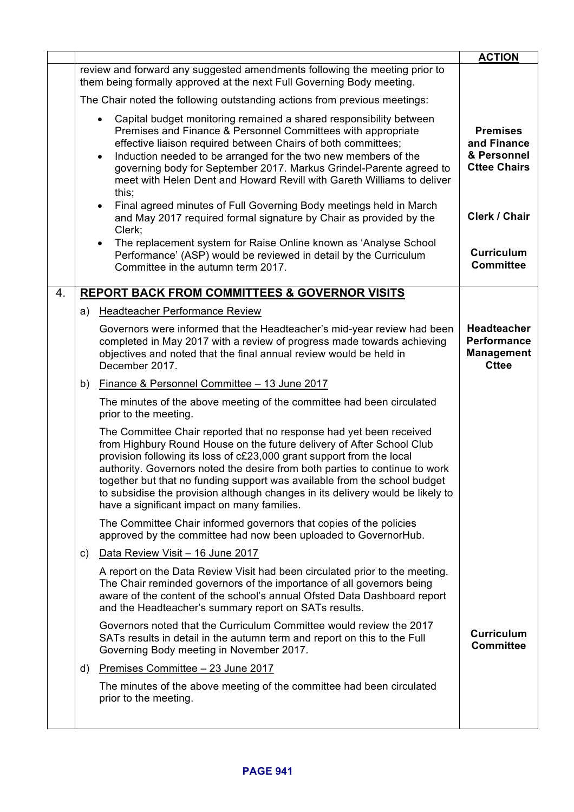|    |    |                                                                                                                                                                                                                                                                                                                                                                                                                                                                                                                    | <b>ACTION</b>                                                                 |
|----|----|--------------------------------------------------------------------------------------------------------------------------------------------------------------------------------------------------------------------------------------------------------------------------------------------------------------------------------------------------------------------------------------------------------------------------------------------------------------------------------------------------------------------|-------------------------------------------------------------------------------|
|    |    | review and forward any suggested amendments following the meeting prior to<br>them being formally approved at the next Full Governing Body meeting.                                                                                                                                                                                                                                                                                                                                                                |                                                                               |
|    |    | The Chair noted the following outstanding actions from previous meetings:                                                                                                                                                                                                                                                                                                                                                                                                                                          |                                                                               |
|    |    | Capital budget monitoring remained a shared responsibility between<br>$\bullet$<br>Premises and Finance & Personnel Committees with appropriate<br>effective liaison required between Chairs of both committees;<br>Induction needed to be arranged for the two new members of the<br>$\bullet$<br>governing body for September 2017. Markus Grindel-Parente agreed to<br>meet with Helen Dent and Howard Revill with Gareth Williams to deliver<br>this;                                                          | <b>Premises</b><br>and Finance<br>& Personnel<br><b>Cttee Chairs</b>          |
|    |    | Final agreed minutes of Full Governing Body meetings held in March<br>$\bullet$<br>and May 2017 required formal signature by Chair as provided by the<br>Clerk;                                                                                                                                                                                                                                                                                                                                                    | Clerk / Chair                                                                 |
|    |    | The replacement system for Raise Online known as 'Analyse School<br>$\bullet$<br>Performance' (ASP) would be reviewed in detail by the Curriculum<br>Committee in the autumn term 2017.                                                                                                                                                                                                                                                                                                                            | <b>Curriculum</b><br><b>Committee</b>                                         |
| 4. |    | <b>REPORT BACK FROM COMMITTEES &amp; GOVERNOR VISITS</b>                                                                                                                                                                                                                                                                                                                                                                                                                                                           |                                                                               |
|    | a) | <b>Headteacher Performance Review</b>                                                                                                                                                                                                                                                                                                                                                                                                                                                                              |                                                                               |
|    |    | Governors were informed that the Headteacher's mid-year review had been<br>completed in May 2017 with a review of progress made towards achieving<br>objectives and noted that the final annual review would be held in<br>December 2017.                                                                                                                                                                                                                                                                          | <b>Headteacher</b><br><b>Performance</b><br><b>Management</b><br><b>Cttee</b> |
|    | b) | Finance & Personnel Committee - 13 June 2017                                                                                                                                                                                                                                                                                                                                                                                                                                                                       |                                                                               |
|    |    | The minutes of the above meeting of the committee had been circulated<br>prior to the meeting.                                                                                                                                                                                                                                                                                                                                                                                                                     |                                                                               |
|    |    | The Committee Chair reported that no response had yet been received<br>from Highbury Round House on the future delivery of After School Club<br>provision following its loss of c£23,000 grant support from the local<br>authority. Governors noted the desire from both parties to continue to work<br>together but that no funding support was available from the school budget<br>to subsidise the provision although changes in its delivery would be likely to<br>have a significant impact on many families. |                                                                               |
|    |    | The Committee Chair informed governors that copies of the policies<br>approved by the committee had now been uploaded to GovernorHub.                                                                                                                                                                                                                                                                                                                                                                              |                                                                               |
|    | C) | Data Review Visit - 16 June 2017                                                                                                                                                                                                                                                                                                                                                                                                                                                                                   |                                                                               |
|    |    | A report on the Data Review Visit had been circulated prior to the meeting.<br>The Chair reminded governors of the importance of all governors being<br>aware of the content of the school's annual Ofsted Data Dashboard report<br>and the Headteacher's summary report on SATs results.                                                                                                                                                                                                                          |                                                                               |
|    |    | Governors noted that the Curriculum Committee would review the 2017<br>SATs results in detail in the autumn term and report on this to the Full<br>Governing Body meeting in November 2017.                                                                                                                                                                                                                                                                                                                        | <b>Curriculum</b><br><b>Committee</b>                                         |
|    | d) | Premises Committee - 23 June 2017                                                                                                                                                                                                                                                                                                                                                                                                                                                                                  |                                                                               |
|    |    | The minutes of the above meeting of the committee had been circulated<br>prior to the meeting.                                                                                                                                                                                                                                                                                                                                                                                                                     |                                                                               |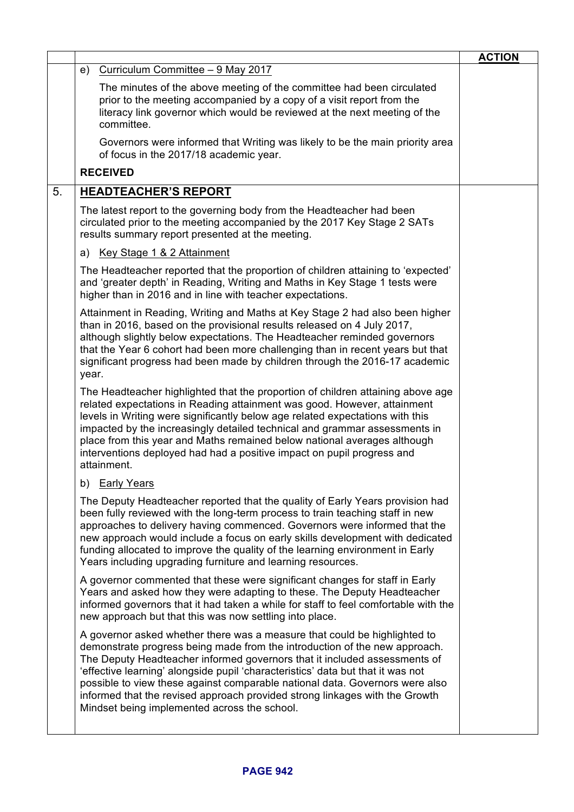| Curriculum Committee - 9 May 2017<br>e)<br>The minutes of the above meeting of the committee had been circulated<br>prior to the meeting accompanied by a copy of a visit report from the                                                                                                                                                                                                                                                                                                                                              |  |
|----------------------------------------------------------------------------------------------------------------------------------------------------------------------------------------------------------------------------------------------------------------------------------------------------------------------------------------------------------------------------------------------------------------------------------------------------------------------------------------------------------------------------------------|--|
|                                                                                                                                                                                                                                                                                                                                                                                                                                                                                                                                        |  |
| literacy link governor which would be reviewed at the next meeting of the<br>committee.                                                                                                                                                                                                                                                                                                                                                                                                                                                |  |
| Governors were informed that Writing was likely to be the main priority area<br>of focus in the 2017/18 academic year.                                                                                                                                                                                                                                                                                                                                                                                                                 |  |
| <b>RECEIVED</b>                                                                                                                                                                                                                                                                                                                                                                                                                                                                                                                        |  |
| 5.<br><b>HEADTEACHER'S REPORT</b>                                                                                                                                                                                                                                                                                                                                                                                                                                                                                                      |  |
| The latest report to the governing body from the Headteacher had been<br>circulated prior to the meeting accompanied by the 2017 Key Stage 2 SATs<br>results summary report presented at the meeting.                                                                                                                                                                                                                                                                                                                                  |  |
| a) Key Stage 1 & 2 Attainment                                                                                                                                                                                                                                                                                                                                                                                                                                                                                                          |  |
| The Headteacher reported that the proportion of children attaining to 'expected'<br>and 'greater depth' in Reading, Writing and Maths in Key Stage 1 tests were<br>higher than in 2016 and in line with teacher expectations.                                                                                                                                                                                                                                                                                                          |  |
| Attainment in Reading, Writing and Maths at Key Stage 2 had also been higher<br>than in 2016, based on the provisional results released on 4 July 2017,<br>although slightly below expectations. The Headteacher reminded governors<br>that the Year 6 cohort had been more challenging than in recent years but that<br>significant progress had been made by children through the 2016-17 academic<br>year.                                                                                                                          |  |
| The Headteacher highlighted that the proportion of children attaining above age<br>related expectations in Reading attainment was good. However, attainment<br>levels in Writing were significantly below age related expectations with this<br>impacted by the increasingly detailed technical and grammar assessments in<br>place from this year and Maths remained below national averages although<br>interventions deployed had had a positive impact on pupil progress and<br>attainment.                                        |  |
| b) Early Years                                                                                                                                                                                                                                                                                                                                                                                                                                                                                                                         |  |
| The Deputy Headteacher reported that the quality of Early Years provision had<br>been fully reviewed with the long-term process to train teaching staff in new<br>approaches to delivery having commenced. Governors were informed that the<br>new approach would include a focus on early skills development with dedicated<br>funding allocated to improve the quality of the learning environment in Early<br>Years including upgrading furniture and learning resources.                                                           |  |
| A governor commented that these were significant changes for staff in Early<br>Years and asked how they were adapting to these. The Deputy Headteacher<br>informed governors that it had taken a while for staff to feel comfortable with the<br>new approach but that this was now settling into place.                                                                                                                                                                                                                               |  |
| A governor asked whether there was a measure that could be highlighted to<br>demonstrate progress being made from the introduction of the new approach.<br>The Deputy Headteacher informed governors that it included assessments of<br>'effective learning' alongside pupil 'characteristics' data but that it was not<br>possible to view these against comparable national data. Governors were also<br>informed that the revised approach provided strong linkages with the Growth<br>Mindset being implemented across the school. |  |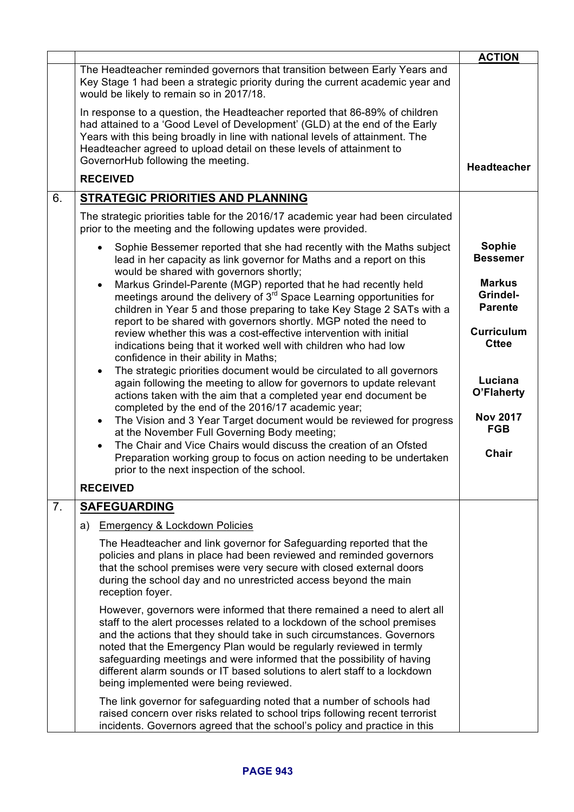|    |                                                                                                                                                                                                                                                                                                                                                                                                                                                                                                         | <b>ACTION</b>                               |
|----|---------------------------------------------------------------------------------------------------------------------------------------------------------------------------------------------------------------------------------------------------------------------------------------------------------------------------------------------------------------------------------------------------------------------------------------------------------------------------------------------------------|---------------------------------------------|
|    | The Headteacher reminded governors that transition between Early Years and<br>Key Stage 1 had been a strategic priority during the current academic year and<br>would be likely to remain so in 2017/18.                                                                                                                                                                                                                                                                                                |                                             |
|    | In response to a question, the Headteacher reported that 86-89% of children<br>had attained to a 'Good Level of Development' (GLD) at the end of the Early<br>Years with this being broadly in line with national levels of attainment. The<br>Headteacher agreed to upload detail on these levels of attainment to<br>GovernorHub following the meeting.                                                                                                                                               |                                             |
|    | <b>RECEIVED</b>                                                                                                                                                                                                                                                                                                                                                                                                                                                                                         | <b>Headteacher</b>                          |
| 6. | <b>STRATEGIC PRIORITIES AND PLANNING</b>                                                                                                                                                                                                                                                                                                                                                                                                                                                                |                                             |
|    | The strategic priorities table for the 2016/17 academic year had been circulated<br>prior to the meeting and the following updates were provided.                                                                                                                                                                                                                                                                                                                                                       |                                             |
|    | Sophie Bessemer reported that she had recently with the Maths subject<br>$\bullet$<br>lead in her capacity as link governor for Maths and a report on this<br>would be shared with governors shortly;                                                                                                                                                                                                                                                                                                   | <b>Sophie</b><br><b>Bessemer</b>            |
|    | Markus Grindel-Parente (MGP) reported that he had recently held<br>$\bullet$<br>meetings around the delivery of 3 <sup>rd</sup> Space Learning opportunities for<br>children in Year 5 and those preparing to take Key Stage 2 SATs with a                                                                                                                                                                                                                                                              | <b>Markus</b><br>Grindel-<br><b>Parente</b> |
|    | report to be shared with governors shortly. MGP noted the need to<br>review whether this was a cost-effective intervention with initial<br>indications being that it worked well with children who had low<br>confidence in their ability in Maths;                                                                                                                                                                                                                                                     | <b>Curriculum</b><br><b>Cttee</b>           |
|    | The strategic priorities document would be circulated to all governors<br>$\bullet$<br>again following the meeting to allow for governors to update relevant<br>actions taken with the aim that a completed year end document be<br>completed by the end of the 2016/17 academic year;                                                                                                                                                                                                                  | Luciana<br>O'Flaherty                       |
|    | The Vision and 3 Year Target document would be reviewed for progress<br>$\bullet$<br>at the November Full Governing Body meeting;                                                                                                                                                                                                                                                                                                                                                                       | <b>Nov 2017</b><br><b>FGB</b>               |
|    | The Chair and Vice Chairs would discuss the creation of an Ofsted<br>$\bullet$<br>Preparation working group to focus on action needing to be undertaken<br>prior to the next inspection of the school.                                                                                                                                                                                                                                                                                                  | <b>Chair</b>                                |
|    | <b>RECEIVED</b>                                                                                                                                                                                                                                                                                                                                                                                                                                                                                         |                                             |
| 7. | <b>SAFEGUARDING</b>                                                                                                                                                                                                                                                                                                                                                                                                                                                                                     |                                             |
|    | <b>Emergency &amp; Lockdown Policies</b><br>a)                                                                                                                                                                                                                                                                                                                                                                                                                                                          |                                             |
|    | The Headteacher and link governor for Safeguarding reported that the<br>policies and plans in place had been reviewed and reminded governors<br>that the school premises were very secure with closed external doors<br>during the school day and no unrestricted access beyond the main<br>reception foyer.                                                                                                                                                                                            |                                             |
|    | However, governors were informed that there remained a need to alert all<br>staff to the alert processes related to a lockdown of the school premises<br>and the actions that they should take in such circumstances. Governors<br>noted that the Emergency Plan would be regularly reviewed in termly<br>safeguarding meetings and were informed that the possibility of having<br>different alarm sounds or IT based solutions to alert staff to a lockdown<br>being implemented were being reviewed. |                                             |
|    | The link governor for safeguarding noted that a number of schools had<br>raised concern over risks related to school trips following recent terrorist<br>incidents. Governors agreed that the school's policy and practice in this                                                                                                                                                                                                                                                                      |                                             |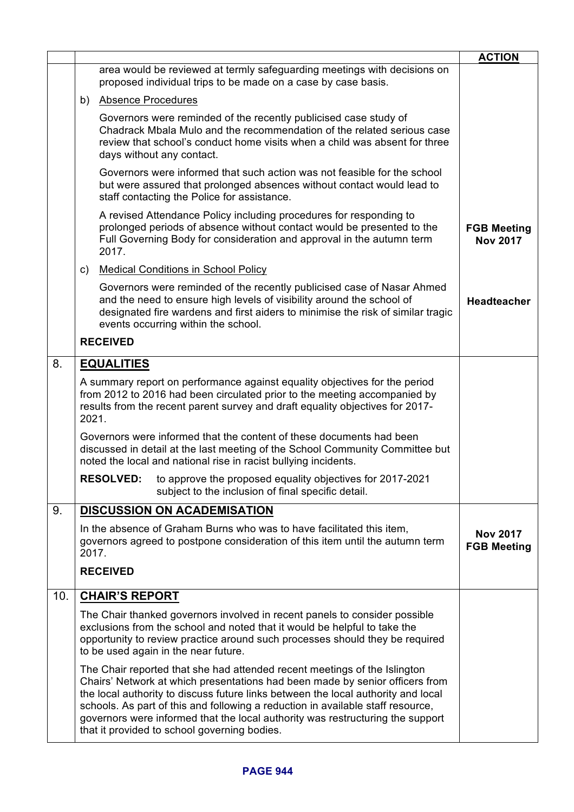|     |                                                                                                                                                                                                                                                   |                                                                                                                                                                                                                                                                                                                                                                                                                                                                     | <b>ACTION</b>                         |
|-----|---------------------------------------------------------------------------------------------------------------------------------------------------------------------------------------------------------------------------------------------------|---------------------------------------------------------------------------------------------------------------------------------------------------------------------------------------------------------------------------------------------------------------------------------------------------------------------------------------------------------------------------------------------------------------------------------------------------------------------|---------------------------------------|
|     |                                                                                                                                                                                                                                                   | area would be reviewed at termly safeguarding meetings with decisions on<br>proposed individual trips to be made on a case by case basis.                                                                                                                                                                                                                                                                                                                           |                                       |
|     | b)                                                                                                                                                                                                                                                | <b>Absence Procedures</b>                                                                                                                                                                                                                                                                                                                                                                                                                                           |                                       |
|     |                                                                                                                                                                                                                                                   | Governors were reminded of the recently publicised case study of<br>Chadrack Mbala Mulo and the recommendation of the related serious case<br>review that school's conduct home visits when a child was absent for three<br>days without any contact.                                                                                                                                                                                                               |                                       |
|     |                                                                                                                                                                                                                                                   | Governors were informed that such action was not feasible for the school<br>but were assured that prolonged absences without contact would lead to<br>staff contacting the Police for assistance.                                                                                                                                                                                                                                                                   |                                       |
|     |                                                                                                                                                                                                                                                   | A revised Attendance Policy including procedures for responding to<br>prolonged periods of absence without contact would be presented to the<br>Full Governing Body for consideration and approval in the autumn term<br>2017.                                                                                                                                                                                                                                      | <b>FGB Meeting</b><br><b>Nov 2017</b> |
|     | C)                                                                                                                                                                                                                                                | <b>Medical Conditions in School Policy</b>                                                                                                                                                                                                                                                                                                                                                                                                                          |                                       |
|     |                                                                                                                                                                                                                                                   | Governors were reminded of the recently publicised case of Nasar Ahmed<br>and the need to ensure high levels of visibility around the school of<br>designated fire wardens and first aiders to minimise the risk of similar tragic<br>events occurring within the school.                                                                                                                                                                                           | <b>Headteacher</b>                    |
|     |                                                                                                                                                                                                                                                   | <b>RECEIVED</b>                                                                                                                                                                                                                                                                                                                                                                                                                                                     |                                       |
| 8.  |                                                                                                                                                                                                                                                   | <b>EQUALITIES</b>                                                                                                                                                                                                                                                                                                                                                                                                                                                   |                                       |
|     | A summary report on performance against equality objectives for the period<br>from 2012 to 2016 had been circulated prior to the meeting accompanied by<br>results from the recent parent survey and draft equality objectives for 2017-<br>2021. |                                                                                                                                                                                                                                                                                                                                                                                                                                                                     |                                       |
|     | Governors were informed that the content of these documents had been<br>discussed in detail at the last meeting of the School Community Committee but<br>noted the local and national rise in racist bullying incidents.                          |                                                                                                                                                                                                                                                                                                                                                                                                                                                                     |                                       |
|     |                                                                                                                                                                                                                                                   | <b>RESOLVED:</b><br>to approve the proposed equality objectives for 2017-2021<br>subject to the inclusion of final specific detail.                                                                                                                                                                                                                                                                                                                                 |                                       |
| 9.  |                                                                                                                                                                                                                                                   | <b>DISCUSSION ON ACADEMISATION</b>                                                                                                                                                                                                                                                                                                                                                                                                                                  |                                       |
|     | 2017.                                                                                                                                                                                                                                             | In the absence of Graham Burns who was to have facilitated this item,<br>governors agreed to postpone consideration of this item until the autumn term                                                                                                                                                                                                                                                                                                              | <b>Nov 2017</b><br><b>FGB Meeting</b> |
|     |                                                                                                                                                                                                                                                   | <b>RECEIVED</b>                                                                                                                                                                                                                                                                                                                                                                                                                                                     |                                       |
| 10. | <b>CHAIR'S REPORT</b>                                                                                                                                                                                                                             |                                                                                                                                                                                                                                                                                                                                                                                                                                                                     |                                       |
|     |                                                                                                                                                                                                                                                   | The Chair thanked governors involved in recent panels to consider possible<br>exclusions from the school and noted that it would be helpful to take the<br>opportunity to review practice around such processes should they be required<br>to be used again in the near future.                                                                                                                                                                                     |                                       |
|     |                                                                                                                                                                                                                                                   | The Chair reported that she had attended recent meetings of the Islington<br>Chairs' Network at which presentations had been made by senior officers from<br>the local authority to discuss future links between the local authority and local<br>schools. As part of this and following a reduction in available staff resource,<br>governors were informed that the local authority was restructuring the support<br>that it provided to school governing bodies. |                                       |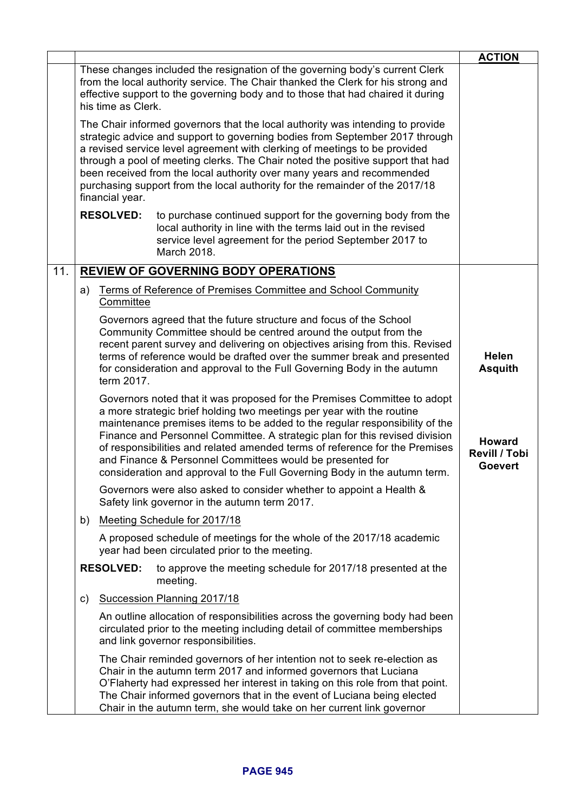|     |                                                                                                                                                                                                                                                                                                                                                                                                                                                                                                                                          | <b>ACTION</b>                                           |
|-----|------------------------------------------------------------------------------------------------------------------------------------------------------------------------------------------------------------------------------------------------------------------------------------------------------------------------------------------------------------------------------------------------------------------------------------------------------------------------------------------------------------------------------------------|---------------------------------------------------------|
|     | These changes included the resignation of the governing body's current Clerk<br>from the local authority service. The Chair thanked the Clerk for his strong and<br>effective support to the governing body and to those that had chaired it during<br>his time as Clerk.                                                                                                                                                                                                                                                                |                                                         |
|     | The Chair informed governors that the local authority was intending to provide<br>strategic advice and support to governing bodies from September 2017 through<br>a revised service level agreement with clerking of meetings to be provided<br>through a pool of meeting clerks. The Chair noted the positive support that had<br>been received from the local authority over many years and recommended<br>purchasing support from the local authority for the remainder of the 2017/18<br>financial year.                             |                                                         |
|     | <b>RESOLVED:</b><br>to purchase continued support for the governing body from the<br>local authority in line with the terms laid out in the revised<br>service level agreement for the period September 2017 to<br>March 2018.                                                                                                                                                                                                                                                                                                           |                                                         |
| 11. | <b>REVIEW OF GOVERNING BODY OPERATIONS</b>                                                                                                                                                                                                                                                                                                                                                                                                                                                                                               |                                                         |
|     | Terms of Reference of Premises Committee and School Community<br>a)<br>Committee                                                                                                                                                                                                                                                                                                                                                                                                                                                         |                                                         |
|     | Governors agreed that the future structure and focus of the School<br>Community Committee should be centred around the output from the<br>recent parent survey and delivering on objectives arising from this. Revised<br>terms of reference would be drafted over the summer break and presented<br>for consideration and approval to the Full Governing Body in the autumn<br>term 2017.                                                                                                                                               | <b>Helen</b><br><b>Asquith</b>                          |
|     | Governors noted that it was proposed for the Premises Committee to adopt<br>a more strategic brief holding two meetings per year with the routine<br>maintenance premises items to be added to the regular responsibility of the<br>Finance and Personnel Committee. A strategic plan for this revised division<br>of responsibilities and related amended terms of reference for the Premises<br>and Finance & Personnel Committees would be presented for<br>consideration and approval to the Full Governing Body in the autumn term. | <b>Howard</b><br><b>Revill / Tobi</b><br><b>Goevert</b> |
|     | Governors were also asked to consider whether to appoint a Health &<br>Safety link governor in the autumn term 2017.                                                                                                                                                                                                                                                                                                                                                                                                                     |                                                         |
|     | Meeting Schedule for 2017/18<br>b)                                                                                                                                                                                                                                                                                                                                                                                                                                                                                                       |                                                         |
|     | A proposed schedule of meetings for the whole of the 2017/18 academic<br>year had been circulated prior to the meeting.                                                                                                                                                                                                                                                                                                                                                                                                                  |                                                         |
|     | <b>RESOLVED:</b><br>to approve the meeting schedule for 2017/18 presented at the<br>meeting.                                                                                                                                                                                                                                                                                                                                                                                                                                             |                                                         |
|     | Succession Planning 2017/18<br>C)                                                                                                                                                                                                                                                                                                                                                                                                                                                                                                        |                                                         |
|     | An outline allocation of responsibilities across the governing body had been<br>circulated prior to the meeting including detail of committee memberships<br>and link governor responsibilities.                                                                                                                                                                                                                                                                                                                                         |                                                         |
|     | The Chair reminded governors of her intention not to seek re-election as<br>Chair in the autumn term 2017 and informed governors that Luciana<br>O'Flaherty had expressed her interest in taking on this role from that point.<br>The Chair informed governors that in the event of Luciana being elected<br>Chair in the autumn term, she would take on her current link governor                                                                                                                                                       |                                                         |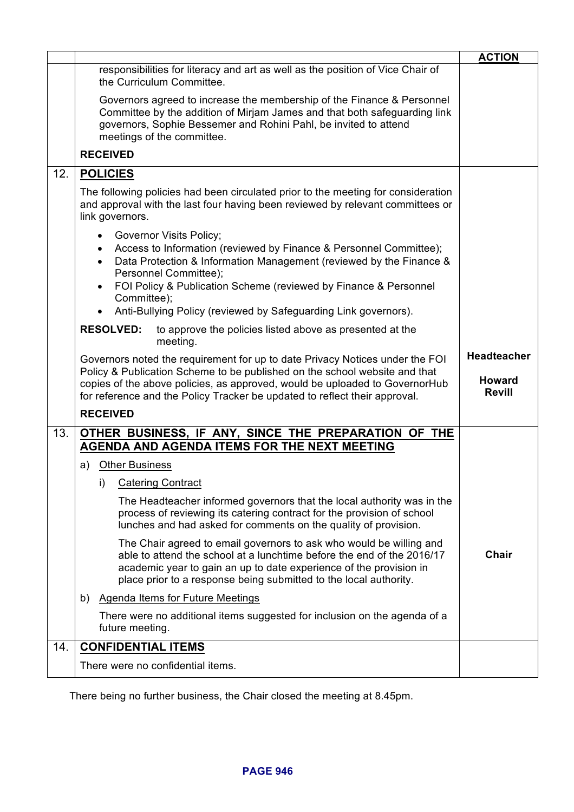|     |                                                                                                                                                                                                                                                                                                                         | <b>ACTION</b>                                        |
|-----|-------------------------------------------------------------------------------------------------------------------------------------------------------------------------------------------------------------------------------------------------------------------------------------------------------------------------|------------------------------------------------------|
|     | responsibilities for literacy and art as well as the position of Vice Chair of<br>the Curriculum Committee.                                                                                                                                                                                                             |                                                      |
|     | Governors agreed to increase the membership of the Finance & Personnel<br>Committee by the addition of Mirjam James and that both safeguarding link<br>governors, Sophie Bessemer and Rohini Pahl, be invited to attend<br>meetings of the committee.                                                                   |                                                      |
|     | <b>RECEIVED</b>                                                                                                                                                                                                                                                                                                         |                                                      |
| 12. | <b>POLICIES</b>                                                                                                                                                                                                                                                                                                         |                                                      |
|     | The following policies had been circulated prior to the meeting for consideration<br>and approval with the last four having been reviewed by relevant committees or<br>link governors.                                                                                                                                  |                                                      |
|     | Governor Visits Policy;<br>$\bullet$<br>Access to Information (reviewed by Finance & Personnel Committee);<br>Data Protection & Information Management (reviewed by the Finance &<br>$\bullet$<br>Personnel Committee);<br>FOI Policy & Publication Scheme (reviewed by Finance & Personnel<br>$\bullet$                |                                                      |
|     | Committee);                                                                                                                                                                                                                                                                                                             |                                                      |
|     | Anti-Bullying Policy (reviewed by Safeguarding Link governors).<br>$\bullet$                                                                                                                                                                                                                                            |                                                      |
|     | <b>RESOLVED:</b><br>to approve the policies listed above as presented at the<br>meeting.                                                                                                                                                                                                                                |                                                      |
|     | Governors noted the requirement for up to date Privacy Notices under the FOI<br>Policy & Publication Scheme to be published on the school website and that<br>copies of the above policies, as approved, would be uploaded to GovernorHub<br>for reference and the Policy Tracker be updated to reflect their approval. | <b>Headteacher</b><br><b>Howard</b><br><b>Revill</b> |
|     | <b>RECEIVED</b>                                                                                                                                                                                                                                                                                                         |                                                      |
| 13. | OTHER BUSINESS, IF ANY, SINCE THE PREPARATION OF THE                                                                                                                                                                                                                                                                    |                                                      |
|     | AGENDA AND AGENDA ITEMS FOR THE NEXT MEETING                                                                                                                                                                                                                                                                            |                                                      |
|     | a) Other Business                                                                                                                                                                                                                                                                                                       |                                                      |
|     | i) Catering Contract                                                                                                                                                                                                                                                                                                    |                                                      |
|     | The Headteacher informed governors that the local authority was in the<br>process of reviewing its catering contract for the provision of school<br>lunches and had asked for comments on the quality of provision.                                                                                                     |                                                      |
|     | The Chair agreed to email governors to ask who would be willing and<br>able to attend the school at a lunchtime before the end of the 2016/17<br>academic year to gain an up to date experience of the provision in<br>place prior to a response being submitted to the local authority.                                | <b>Chair</b>                                         |
|     | Agenda Items for Future Meetings<br>b)                                                                                                                                                                                                                                                                                  |                                                      |
|     | There were no additional items suggested for inclusion on the agenda of a<br>future meeting.                                                                                                                                                                                                                            |                                                      |
| 14. | <b>CONFIDENTIAL ITEMS</b>                                                                                                                                                                                                                                                                                               |                                                      |
|     | There were no confidential items.                                                                                                                                                                                                                                                                                       |                                                      |
|     |                                                                                                                                                                                                                                                                                                                         |                                                      |

There being no further business, the Chair closed the meeting at 8.45pm.